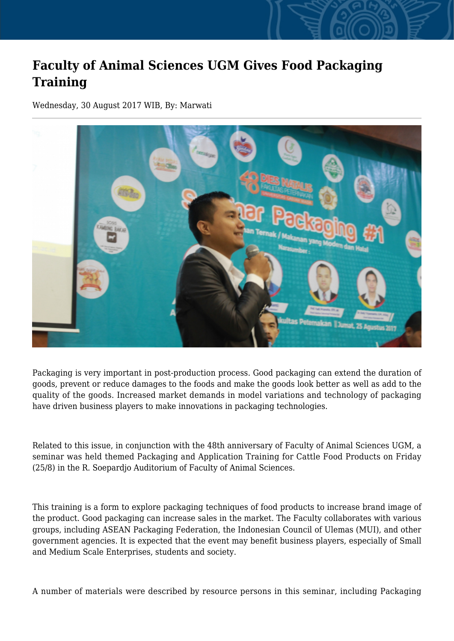## **Faculty of Animal Sciences UGM Gives Food Packaging Training**

Wednesday, 30 August 2017 WIB, By: Marwati



Packaging is very important in post-production process. Good packaging can extend the duration of goods, prevent or reduce damages to the foods and make the goods look better as well as add to the quality of the goods. Increased market demands in model variations and technology of packaging have driven business players to make innovations in packaging technologies.

Related to this issue, in conjunction with the 48th anniversary of Faculty of Animal Sciences UGM, a seminar was held themed Packaging and Application Training for Cattle Food Products on Friday (25/8) in the R. Soepardjo Auditorium of Faculty of Animal Sciences.

This training is a form to explore packaging techniques of food products to increase brand image of the product. Good packaging can increase sales in the market. The Faculty collaborates with various groups, including ASEAN Packaging Federation, the Indonesian Council of Ulemas (MUI), and other government agencies. It is expected that the event may benefit business players, especially of Small and Medium Scale Enterprises, students and society.

A number of materials were described by resource persons in this seminar, including Packaging